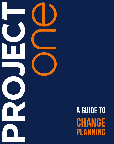

# **CHANGE** PLANNING A GUIDE TO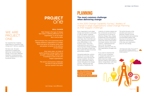

real change · real difference

# **PROJECT** ONA

#### **REAL CHANGE**

Real change is the type of change that makes a defining difference to an organisation. It can be tough. But it can be done.

Here at Project One, we're passionate about helping ambitious organisations to change, thrive and grow, by bringing clarity, pace and greater certainty to the delivery of real change.

> Over many years, our team of battle-hardened change leaders have brought a refreshingly different way of working to some of the UK's largest organisations.

The sectors and business challenges we work on may be diverse, but our resolve is the same.

### In the 2015 Change Capability Survey\*, leaders of change in large organisations voted Change Planning as their biggest challenge.

# Planning

### **The most common challenge when delivering change**

IF YOU STRUGGLE WITH CHANGE PLANNING, YOU'RE NOT ON YOUR OWN

Every organisation must adapt, change and transform continually in order to deliver sustained levels of business performance. Change is not optional, and it's never easy. Now, more than ever before, being good at change is a key differentiator in the business world. Those who understand this and invest in improving their change capability are far more likely to attain and then sustain the level of business performance needed.

Alongside leadership, solution design and sourcing, change planning is one of the four key change capability disciplines that an organisation needs to master throughout the change journey\*. Planning may lack the kudos of leadership, the

creativity of solution design and the commercial cut-and-thrust of sourcing, but it's the key to effective change. Many change programmes miss expectations because of planning challenges – things that weren't done before the project started. And recent research underlined the fact that, of all the change disciplines, planning is the one that organisations struggle with most.

If you want to maximise the return on your investment in change then planning is a challenge worth fixing. Better planning enables better decision-making, which helps to deliver change faster, with more certainty and at lower cost.

This article focuses on the discipline and essence of planning. Prepare yourself for the important and sometimes uncomfortable realities that may have to be faced to make significant improvements in the way your organisation plans for real change.

\* See Project One's paper 'How to improve your organisation's change capability' (projectone.com/insights/how-to-improvechange-capability)

# WE ARE PROJECT ONE

Our expertise lies in helping organisations to transform their change and IT delivery capability.

We have over 20 years' experience in leading and delivering transformational change across many different industries, including business critical programmes for many household names.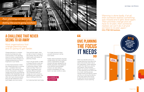

Most organisations find change planning hard, and it's going to get harder.

# A CHALLENGE THAT NEVER SEEMS TO GO AWAY

Change planning is a complex process touching every area of the business. From deciding where to invest, to planning the resources for future change, as a change professional you have a tough job on your hands.

In many big businesses it feels like change planning is a homing issue - a problem that never goes away. Like business whacka-mole, the people in charge of change end up just encountering problems that repeatedly pop up and have to be dealt with. Issues often don't get solved properly, they just get shifted but come back bigger and more severe.

Time and time again, when we talk to those in charge of real change, they tell us they need to get much better at planning change.

And it will get harder. In 1980, a Change Director could see and control those involved in delivering change. Today, where are they? They're in partner organisations and multiple offshore facilities. The component parts of change are more numerous, distributed and complex, and they're shifting all the time.

So if planning feels hard today,

fix it today, because, brace yourself, tomorrow it will be even harder.

Finally, newer businesses may find change easier, but many twentieth century organisations struggle. Amazon has been designed to be flexible, big banks were designed to be efficient and profitable. Amazon can start selling a product immediately, for a big bank it can take months or years.

When you decide to focus on change planning, think about the status and priority that it has in the organisation. When planning is given the right focus, priority and support, when business leaders are properly engaged in it, then planning can be done well. As a result, steering groups, change boards and delivery teams can focus on driving the delivery of the plan rather than having to deal with the all-consuming implications of poor planning.

# IT NEEDS THE FOCUS GIVE PLANNING



**CIO, FTSE 100 business**

 $4.$ 

real change · real difference



SO WHERE DO YOU START?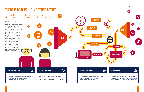Project One

iDEAS

泣



### **EDUCING COST**



PROGRAMME

**DEMAND** 

#### real change · real difference

It's worth the focus. Better change planning can deliver massive value to the whole organisation.

# THERE IS REAL VALUE IN GETTING BETTER

血

Change planning is a classic business integration challenge involving people, processes and technology. To get it right, start by being very clear on the true purpose of planning.

It all boils down to giving the right people, the right information at the right time to enable them to do what they need to do. Giving those with the accountability the information they need to make rational decisions about all the elements of change, for example resources, money, risk, partners, outcomes and benefits, so that these are properly managed.

> ost is minimised when you're delivering the right change, at the right time, with increased levels of productivity and reduced overheads.

Getting the best possible return from the investment you're making in change. The best "bang for the buck"

MAXIMISING RETURN

Planning and co-ordinating the delivery of multiple changes, so that each lands, as far as possible, when the business needs it to land.

## DELIVERING ON TIME

 $\sum_{n=1}^{\infty}$ 

 $\bigodot$ 

| <b>GREATER CERTAINTY</b>                                                    |  |
|-----------------------------------------------------------------------------|--|
| Good planning creates confidence, which<br>allows change to be driven hard, |  |

minimising rework and delays.

 $\bullet$   $\epsilon$ 

**DEMAND** 

**DEMAND** 

**DEMAND**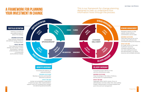9.



Managing capacity so that realistic project delivery commitments can be made.

#### **DESIRED OUTCOME**

Clear plans that are set up for success, with sufficient and committed funding and resources.

#### **WHAT WE SEE**

No single version of the truth, insufficient resources, unreliable estimates and non-value adding processes and administration, not admin resources and unreliable estimates.

This is our framework for change planning, designed to help us understand how information flows through the process.

# A FRAMEWORK FOR PLANNING YOUR INVESTMENT IN CHANGE

#### real change · real difference

## Portfolio DEFINITION

Defining a portfolio of executable projects to deliver the strategy.

#### **DESIRED OUTCOME**

Clear business imperatives and defined change initiatives to achieve them.

#### **WHAT WE SEE**



Poor alignment between strategy and change, unclear prioritisation, a general underestimation of what is involved and poorly-defined change.

> Overseeing project delivery in line with the commitments made.

#### **DESIRED OUTCOME**

Clear knowledge of the status of delivery and the plans for implementation.

#### **WHAT WE SEE**

Aggregate status hard to assess, focus on administrative activities rather than value-adding insights, failing projects not being stopped and poor time and cost management.

Overseeing the delivery of expected benefits.

#### **DESIRED OUTCOME**

Business outcomes and benefits delivered as planned.

#### **WHAT WE SEE**

Unclear accountabilities, evaporation of planning rigour after implementation, support costs not considered and changes not delivering planned benefits.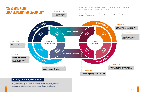Inability to properly schedule delivery and commit to the demand plan.

> Inability to commit resource to the most important change initiatives.



In-house and external resources being unable to deliver the best value possible.

Difficulty in dealing with delivery variations and understanding their implications.

### *Change Planning Diagnostic*

Understanding your capability and building an improvement plan, needs experience to differentiate the problem from the downstream symptoms of that problem. This is what the diagnostic helps to uncover. It needs experienced people too!

#### 2. LEADING TO:

#### 1. LEADING TO:

#### LEADING TO: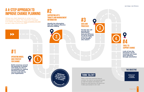

3.

# TOOLS TO SUPPORT CHANGE #4

**EFFECTIVE CHANGE PLANNING** 

FOR CHANGE

OPERATING MODEL AND STRATEGY #1

ÞÞ

## SUPPORTING KPI'S, TARGETS AND MANAGEMENT **INFORMATION** #2

DATA AND **PROCESSES** #3

### THE OBJECTIVE

2. **Decide who will provide this information, how you will know it's fit for purpose and how it gets to the people who need it**

**Build consensus around the planning of change and clarity on who is accountable for making decisions and what success looks like for your organisation**

**Identify the information that will support effective decision-making**

CONSIDER WHO<br>HAS THE SKILLS AND<br>EXPERIENCE TO MAKE<br>ALL THIS HAPPEN **<sup>p</sup>rojectone.co<sup>m</sup>**

Where you start depends on what you've already got in place. The important message is to follow the sequence and complete the step as each step informs the next.

> **Look at how the processes can be sustained and made more effective, through automation**

# THINK TALENT!

There is one more important thing to consider. You need to use talented people to make this happen and happen well. People are what planning is all about and it takes good people to do it well.

real change · real difference



# A 4-step approach to improve change planning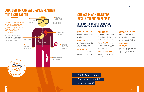15.

# really talented people

### **It's a big job, so use people who know how to do it, and do it well.**

#### **HEAD FOR BUSINESS**

Relishes the task, with the personal and analytical skills to cope with the myriad of challenges.

#### **HIGHLY ANALYTICAL**

A good thinker with a logical mind. Instinctively analytical, with real, financial and planning acumen.

FORENSIC **ATTENTION** TO DETAIL HEAD FOR BUSINESS **COMMITMENT** AND EMPATHY **EXPERIENCED LEADERSHIP** CLEAR VISION STRONG BACK BONE ANALYTICAL GUT INSTINCT Planning isn't often given the priority it deserves in organisations; the planning role frequently falls to people who aren't best equipped to manage it. The difficult-to-place Project Manager can be handed the poisoned planning chalice, and left to deal with it. If you want to fix change planning then you need to **HAVE THE RIGHT** talent involved **<sup>p</sup>rojectone.co<sup>m</sup>**

#### **CLEAR VISION**

You could say 20:20 vision, someone with the focus and clarity to think about and plan the future.

# **HIGHLY** THE RIGHT TALENT TARGE PLANNING NEEDS Anatomy of a great change planner

*Think about the talent. Don't set under-qualified* 

*people up to fail.*

#### **COMMITMENT AND EMPATHY**

Understands the challenges and needs of the key stakeholders, possibly because they've been in their shoes.

#### **GUT INSTINCT**

It takes someone with the instinct to really understand what outputs and activities will add real value.

#### **STRONG BACK BONE**

It's a tough job, so we need someone who has bags of tenacity and conviction.

#### **FORENSIC ATTENTION TO DETAIL**

Organised, thorough and accurate, leaving no stone unturned to get the job done right, whilst keeping sight of the big picture and priorities.

#### **EXPERIENCED LEADERSHIP**

A natural leader who can lead through influence rather than authority. Someone who can build and support a high-performing team.